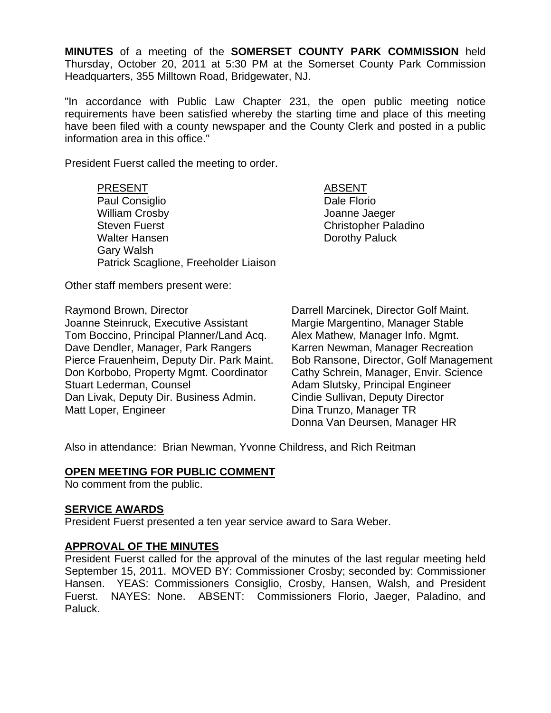**MINUTES** of a meeting of the **SOMERSET COUNTY PARK COMMISSION** held Thursday, October 20, 2011 at 5:30 PM at the Somerset County Park Commission Headquarters, 355 Milltown Road, Bridgewater, NJ.

"In accordance with Public Law Chapter 231, the open public meeting notice requirements have been satisfied whereby the starting time and place of this meeting have been filed with a county newspaper and the County Clerk and posted in a public information area in this office."

President Fuerst called the meeting to order.

PRESENT ABSENT Paul Consiglio **Dale Florio** Dale Florio William Crosby Joanne Jaeger Steven Fuerst Christopher Paladino Walter Hansen **Dorothy Paluck** Gary Walsh Patrick Scaglione, Freeholder Liaison

Other staff members present were:

Raymond Brown, Director **Darrell Marcinek, Director Golf Maint.** Joanne Steinruck, Executive Assistant Margie Margentino, Manager Stable Tom Boccino, Principal Planner/Land Acq. Alex Mathew, Manager Info. Mgmt. Dave Dendler, Manager, Park Rangers Karren Newman, Manager Recreation Pierce Frauenheim, Deputy Dir. Park Maint. Bob Ransone, Director, Golf Management Don Korbobo, Property Mgmt. Coordinator Cathy Schrein, Manager, Envir. Science Stuart Lederman, Counsel **Adam Slutsky**, Principal Engineer Dan Livak, Deputy Dir. Business Admin. Cindie Sullivan, Deputy Director Matt Loper, Engineer **Dina Trunzo**, Manager TR

Donna Van Deursen, Manager HR

Also in attendance: Brian Newman, Yvonne Childress, and Rich Reitman

# **OPEN MEETING FOR PUBLIC COMMENT**

No comment from the public.

# **SERVICE AWARDS**

President Fuerst presented a ten year service award to Sara Weber.

# **APPROVAL OF THE MINUTES**

President Fuerst called for the approval of the minutes of the last regular meeting held September 15, 2011. MOVED BY: Commissioner Crosby; seconded by: Commissioner Hansen. YEAS: Commissioners Consiglio, Crosby, Hansen, Walsh, and President Fuerst. NAYES: None. ABSENT: Commissioners Florio, Jaeger, Paladino, and Paluck.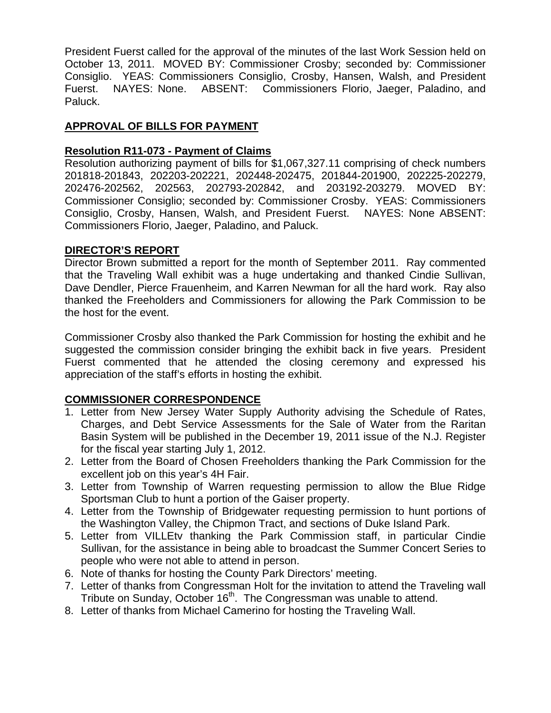President Fuerst called for the approval of the minutes of the last Work Session held on October 13, 2011. MOVED BY: Commissioner Crosby; seconded by: Commissioner Consiglio. YEAS: Commissioners Consiglio, Crosby, Hansen, Walsh, and President Fuerst. NAYES: None. ABSENT: Commissioners Florio, Jaeger, Paladino, and Paluck.

# **APPROVAL OF BILLS FOR PAYMENT**

# **Resolution R11-073 - Payment of Claims**

Resolution authorizing payment of bills for \$1,067,327.11 comprising of check numbers 201818-201843, 202203-202221, 202448-202475, 201844-201900, 202225-202279, 202476-202562, 202563, 202793-202842, and 203192-203279. MOVED BY: Commissioner Consiglio; seconded by: Commissioner Crosby. YEAS: Commissioners Consiglio, Crosby, Hansen, Walsh, and President Fuerst. NAYES: None ABSENT: Commissioners Florio, Jaeger, Paladino, and Paluck.

# **DIRECTOR'S REPORT**

Director Brown submitted a report for the month of September 2011. Ray commented that the Traveling Wall exhibit was a huge undertaking and thanked Cindie Sullivan, Dave Dendler, Pierce Frauenheim, and Karren Newman for all the hard work. Ray also thanked the Freeholders and Commissioners for allowing the Park Commission to be the host for the event.

Commissioner Crosby also thanked the Park Commission for hosting the exhibit and he suggested the commission consider bringing the exhibit back in five years. President Fuerst commented that he attended the closing ceremony and expressed his appreciation of the staff's efforts in hosting the exhibit.

# **COMMISSIONER CORRESPONDENCE**

- 1. Letter from New Jersey Water Supply Authority advising the Schedule of Rates, Charges, and Debt Service Assessments for the Sale of Water from the Raritan Basin System will be published in the December 19, 2011 issue of the N.J. Register for the fiscal year starting July 1, 2012.
- 2. Letter from the Board of Chosen Freeholders thanking the Park Commission for the excellent job on this year's 4H Fair.
- 3. Letter from Township of Warren requesting permission to allow the Blue Ridge Sportsman Club to hunt a portion of the Gaiser property.
- 4. Letter from the Township of Bridgewater requesting permission to hunt portions of the Washington Valley, the Chipmon Tract, and sections of Duke Island Park.
- 5. Letter from VILLEtv thanking the Park Commission staff, in particular Cindie Sullivan, for the assistance in being able to broadcast the Summer Concert Series to people who were not able to attend in person.
- 6. Note of thanks for hosting the County Park Directors' meeting.
- 7. Letter of thanks from Congressman Holt for the invitation to attend the Traveling wall Tribute on Sunday, October 16<sup>th</sup>. The Congressman was unable to attend.
- 8. Letter of thanks from Michael Camerino for hosting the Traveling Wall.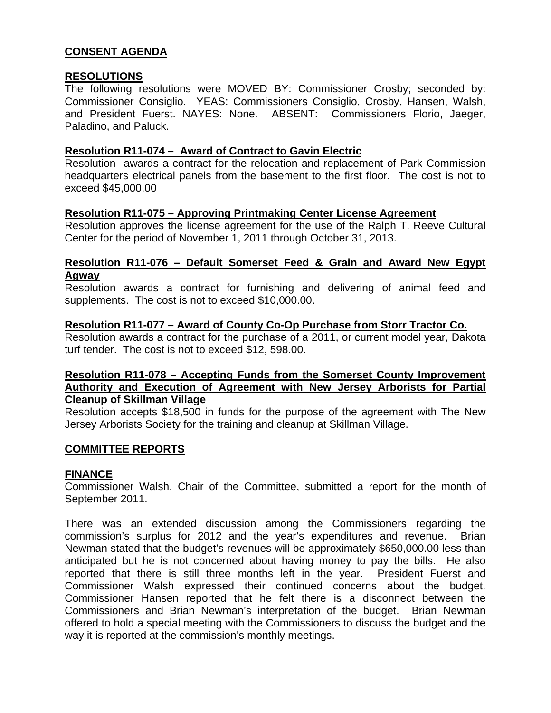# **CONSENT AGENDA**

#### **RESOLUTIONS**

The following resolutions were MOVED BY: Commissioner Crosby; seconded by: Commissioner Consiglio. YEAS: Commissioners Consiglio, Crosby, Hansen, Walsh, and President Fuerst. NAYES: None. ABSENT: Commissioners Florio, Jaeger, Paladino, and Paluck.

### **Resolution R11-074 – Award of Contract to Gavin Electric**

Resolution awards a contract for the relocation and replacement of Park Commission headquarters electrical panels from the basement to the first floor. The cost is not to exceed \$45,000.00

#### **Resolution R11-075 – Approving Printmaking Center License Agreement**

Resolution approves the license agreement for the use of the Ralph T. Reeve Cultural Center for the period of November 1, 2011 through October 31, 2013.

### **Resolution R11-076 – Default Somerset Feed & Grain and Award New Egypt Agway**

Resolution awards a contract for furnishing and delivering of animal feed and supplements. The cost is not to exceed \$10,000.00.

### **Resolution R11-077 – Award of County Co-Op Purchase from Storr Tractor Co.**

Resolution awards a contract for the purchase of a 2011, or current model year, Dakota turf tender. The cost is not to exceed \$12, 598.00.

### **Resolution R11-078 – Accepting Funds from the Somerset County Improvement Authority and Execution of Agreement with New Jersey Arborists for Partial Cleanup of Skillman Village**

Resolution accepts \$18,500 in funds for the purpose of the agreement with The New Jersey Arborists Society for the training and cleanup at Skillman Village.

#### **COMMITTEE REPORTS**

#### **FINANCE**

Commissioner Walsh, Chair of the Committee, submitted a report for the month of September 2011.

There was an extended discussion among the Commissioners regarding the commission's surplus for 2012 and the year's expenditures and revenue. Brian Newman stated that the budget's revenues will be approximately \$650,000.00 less than anticipated but he is not concerned about having money to pay the bills. He also reported that there is still three months left in the year. President Fuerst and Commissioner Walsh expressed their continued concerns about the budget. Commissioner Hansen reported that he felt there is a disconnect between the Commissioners and Brian Newman's interpretation of the budget. Brian Newman offered to hold a special meeting with the Commissioners to discuss the budget and the way it is reported at the commission's monthly meetings.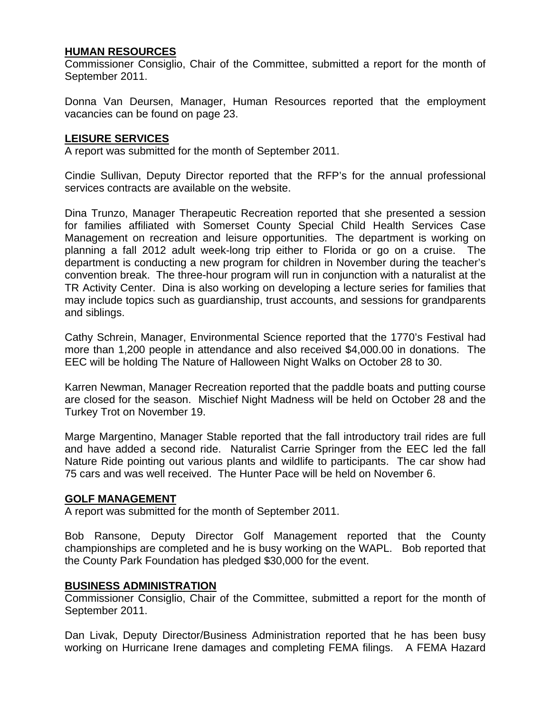# **HUMAN RESOURCES**

Commissioner Consiglio, Chair of the Committee, submitted a report for the month of September 2011.

Donna Van Deursen, Manager, Human Resources reported that the employment vacancies can be found on page 23.

### **LEISURE SERVICES**

A report was submitted for the month of September 2011.

Cindie Sullivan, Deputy Director reported that the RFP's for the annual professional services contracts are available on the website.

Dina Trunzo, Manager Therapeutic Recreation reported that she presented a session for families affiliated with Somerset County Special Child Health Services Case Management on recreation and leisure opportunities. The department is working on planning a fall 2012 adult week-long trip either to Florida or go on a cruise. The department is conducting a new program for children in November during the teacher's convention break. The three-hour program will run in conjunction with a naturalist at the TR Activity Center. Dina is also working on developing a lecture series for families that may include topics such as guardianship, trust accounts, and sessions for grandparents and siblings.

Cathy Schrein, Manager, Environmental Science reported that the 1770's Festival had more than 1,200 people in attendance and also received \$4,000.00 in donations. The EEC will be holding The Nature of Halloween Night Walks on October 28 to 30.

Karren Newman, Manager Recreation reported that the paddle boats and putting course are closed for the season. Mischief Night Madness will be held on October 28 and the Turkey Trot on November 19.

Marge Margentino, Manager Stable reported that the fall introductory trail rides are full and have added a second ride. Naturalist Carrie Springer from the EEC led the fall Nature Ride pointing out various plants and wildlife to participants. The car show had 75 cars and was well received. The Hunter Pace will be held on November 6.

#### **GOLF MANAGEMENT**

A report was submitted for the month of September 2011.

Bob Ransone, Deputy Director Golf Management reported that the County championships are completed and he is busy working on the WAPL. Bob reported that the County Park Foundation has pledged \$30,000 for the event.

# **BUSINESS ADMINISTRATION**

Commissioner Consiglio, Chair of the Committee, submitted a report for the month of September 2011.

Dan Livak, Deputy Director/Business Administration reported that he has been busy working on Hurricane Irene damages and completing FEMA filings. A FEMA Hazard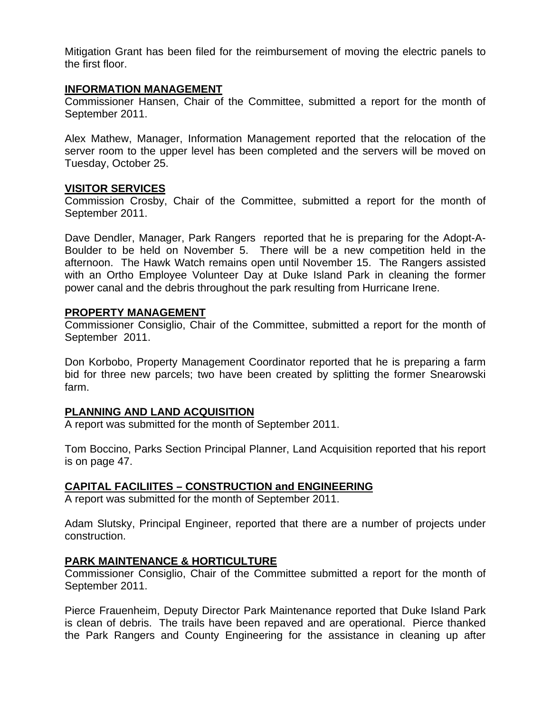Mitigation Grant has been filed for the reimbursement of moving the electric panels to the first floor.

#### **INFORMATION MANAGEMENT**

Commissioner Hansen, Chair of the Committee, submitted a report for the month of September 2011.

Alex Mathew, Manager, Information Management reported that the relocation of the server room to the upper level has been completed and the servers will be moved on Tuesday, October 25.

### **VISITOR SERVICES**

Commission Crosby, Chair of the Committee, submitted a report for the month of September 2011.

Dave Dendler, Manager, Park Rangers reported that he is preparing for the Adopt-A-Boulder to be held on November 5. There will be a new competition held in the afternoon. The Hawk Watch remains open until November 15. The Rangers assisted with an Ortho Employee Volunteer Day at Duke Island Park in cleaning the former power canal and the debris throughout the park resulting from Hurricane Irene.

#### **PROPERTY MANAGEMENT**

Commissioner Consiglio, Chair of the Committee, submitted a report for the month of September 2011.

Don Korbobo, Property Management Coordinator reported that he is preparing a farm bid for three new parcels; two have been created by splitting the former Snearowski farm.

# **PLANNING AND LAND ACQUISITION**

A report was submitted for the month of September 2011.

Tom Boccino, Parks Section Principal Planner, Land Acquisition reported that his report is on page 47.

# **CAPITAL FACILIITES – CONSTRUCTION and ENGINEERING**

A report was submitted for the month of September 2011.

Adam Slutsky, Principal Engineer, reported that there are a number of projects under construction.

# **PARK MAINTENANCE & HORTICULTURE**

Commissioner Consiglio, Chair of the Committee submitted a report for the month of September 2011.

Pierce Frauenheim, Deputy Director Park Maintenance reported that Duke Island Park is clean of debris. The trails have been repaved and are operational. Pierce thanked the Park Rangers and County Engineering for the assistance in cleaning up after